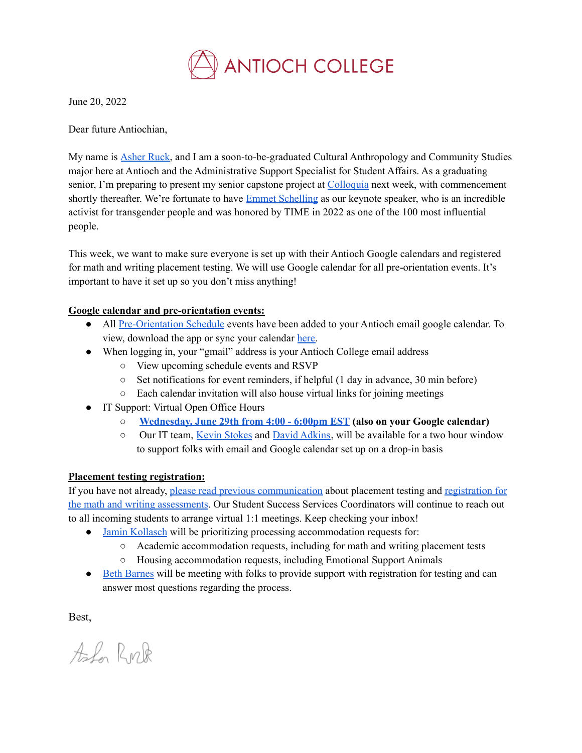

June 20, 2022

Dear future Antiochian,

My name is [Asher](https://antiochcollege.edu/team-members/asher-ruck/) Ruck, and I am a soon-to-be-graduated Cultural Anthropology and Community Studies major here at Antioch and the Administrative Support Specialist for Student Affairs. As a graduating senior, I'm preparing to present my senior capstone project at [Colloquia](https://antiochcollege.edu/commencement/colloquia/) next week, with commencement shortly thereafter. We're fortunate to have **Emmet [Schelling](https://time.com/collection/100-most-influential-people-2022/6177857/emmett-schelling/)** as our keynote speaker, who is an incredible activist for transgender people and was honored by TIME in 2022 as one of the 100 most influential people.

This week, we want to make sure everyone is set up with their Antioch Google calendars and registered for math and writing placement testing. We will use Google calendar for all pre-orientation events. It's important to have it set up so you don't miss anything!

## **Google calendar and pre-orientation events:**

- All [Pre-Orientation](https://antiochcollege.edu/admission/new-student-orientation/) Schedule events have been added to your Antioch email google calendar. To view, download the app or sync your calendar [here.](https://calendar.google.com/)
- When logging in, your "gmail" address is your Antioch College email address
	- View upcoming schedule events and RSVP
	- $\circ$  Set notifications for event reminders, if helpful (1 day in advance, 30 min before)
	- Each calendar invitation will also house virtual links for joining meetings
- IT Support: Virtual Open Office Hours
	- **[Wednesday,](https://us06web.zoom.us/j/83814636828) June 29th from 4:00 - 6:00pm EST (also on your Google calendar)**
	- Our IT team, Kevin [Stokes](https://antiochcollege.edu/team-members/kevin-stokes/) and David [Adkins](https://antiochcollege.edu/team-members/david-adkins/), will be available for a two hour window to support folks with email and Google calendar set up on a drop-in basis

## **Placement testing registration:**

If you have not already, please read previous [communication](https://antiochcollege.edu/admission/new-student-orientation/) about placement testing and [registration](https://docs.google.com/forms/d/e/1FAIpQLSd9oCkqnGMPysiNEkjyYEqXonBk7H7O98Cpkn-3ilpfr2k_TA/viewform) for the math and writing [assessments](https://docs.google.com/forms/d/e/1FAIpQLSd9oCkqnGMPysiNEkjyYEqXonBk7H7O98Cpkn-3ilpfr2k_TA/viewform). Our Student Success Services Coordinators will continue to reach out to all incoming students to arrange virtual 1:1 meetings. Keep checking your inbox!

- Jamin [Kollasch](https://antiochcollege.edu/team-members/jamin-kollasch/) will be prioritizing processing accommodation requests for:
	- Academic accommodation requests, including for math and writing placement tests
	- Housing accommodation requests, including Emotional Support Animals
- Beth [Barnes](https://antiochcollege.edu/team-members/beth-barnes/) will be meeting with folks to provide support with registration for testing and can answer most questions regarding the process.

Best,

Ala Ruk